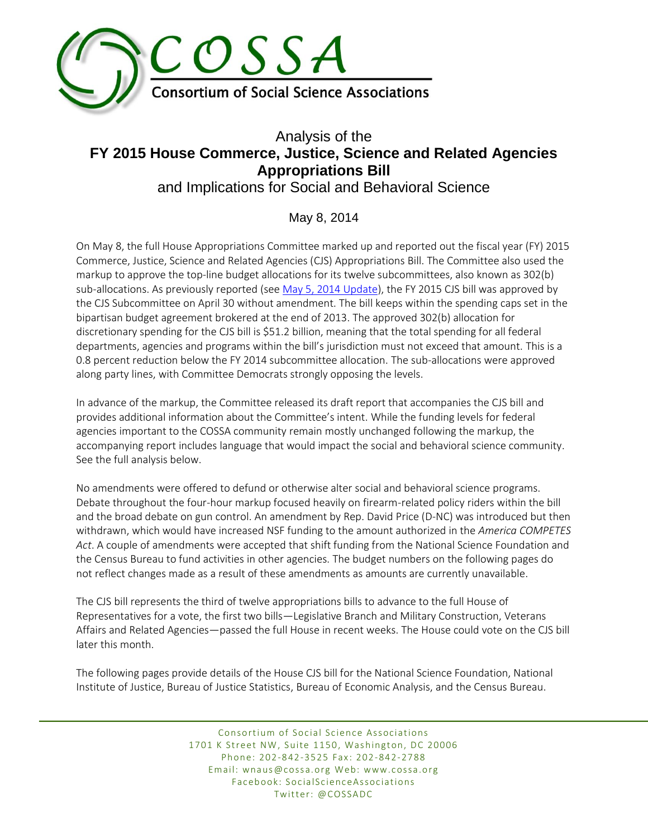

# Analysis of the **FY 2015 House Commerce, Justice, Science and Related Agencies Appropriations Bill**  and Implications for Social and Behavioral Science

## May 8, 2014

On May 8, the full House Appropriations Committee marked up and reported out the fiscal year (FY) 2015 Commerce, Justice, Science and Related Agencies (CJS) Appropriations Bill. The Committee also used the markup to approve the top-line budget allocations for its twelve subcommittees, also known as 302(b) sub-allocations. As previously reported (see [May 5, 2014 Update\)](http://archive.constantcontact.com/fs177/1102766514430/archive/1117273824633.html#LETTER.BLOCK10), the FY 2015 CJS bill was approved by the CJS Subcommittee on April 30 without amendment. The bill keeps within the spending caps set in the bipartisan budget agreement brokered at the end of 2013. The approved 302(b) allocation for discretionary spending for the CJS bill is \$51.2 billion, meaning that the total spending for all federal departments, agencies and programs within the bill's jurisdiction must not exceed that amount. This is a 0.8 percent reduction below the FY 2014 subcommittee allocation. The sub-allocations were approved along party lines, with Committee Democrats strongly opposing the levels.

In advance of the markup, the Committee released its draft report that accompanies the CJS bill and provides additional information about the Committee's intent. While the funding levels for federal agencies important to the COSSA community remain mostly unchanged following the markup, the accompanying report includes language that would impact the social and behavioral science community. See the full analysis below.

No amendments were offered to defund or otherwise alter social and behavioral science programs. Debate throughout the four-hour markup focused heavily on firearm-related policy riders within the bill and the broad debate on gun control. An amendment by Rep. David Price (D-NC) was introduced but then withdrawn, which would have increased NSF funding to the amount authorized in the *America COMPETES Act*. A couple of amendments were accepted that shift funding from the National Science Foundation and the Census Bureau to fund activities in other agencies. The budget numbers on the following pages do not reflect changes made as a result of these amendments as amounts are currently unavailable.

The CJS bill represents the third of twelve appropriations bills to advance to the full House of Representatives for a vote, the first two bills—Legislative Branch and Military Construction, Veterans Affairs and Related Agencies—passed the full House in recent weeks. The House could vote on the CJS bill later this month.

The following pages provide details of the House CJS bill for the National Science Foundation, National Institute of Justice, Bureau of Justice Statistics, Bureau of Economic Analysis, and the Census Bureau.

> Consortium of Social Science Associations 1701 K Street NW, Suite 1150, Washington, DC 20006 Phone: 202-842-3525 Fax: 202-842-2788 Email: wnaus@cossa.org Web: www.cossa.org Facebook: SocialScienceAssociations Twitter: @COSSADC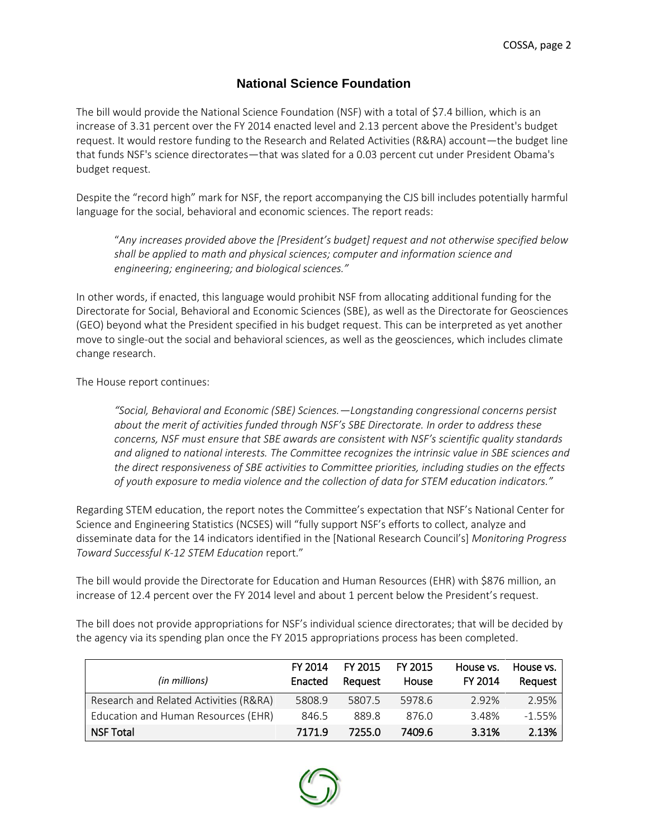## **National Science Foundation**

The bill would provide the National Science Foundation (NSF) with a total of \$7.4 billion, which is an increase of 3.31 percent over the FY 2014 enacted level and 2.13 percent above the President's budget request. It would restore funding to the Research and Related Activities (R&RA) account—the budget line that funds NSF's science directorates—that was slated for a 0.03 percent cut under President Obama's budget request.

Despite the "record high" mark for NSF, the report accompanying the CJS bill includes potentially harmful language for the social, behavioral and economic sciences. The report reads:

"*Any increases provided above the [President's budget] request and not otherwise specified below shall be applied to math and physical sciences; computer and information science and engineering; engineering; and biological sciences."* 

In other words, if enacted, this language would prohibit NSF from allocating additional funding for the Directorate for Social, Behavioral and Economic Sciences (SBE), as well as the Directorate for Geosciences (GEO) beyond what the President specified in his budget request. This can be interpreted as yet another move to single-out the social and behavioral sciences, as well as the geosciences, which includes climate change research.

The House report continues:

*"Social, Behavioral and Economic (SBE) Sciences.—Longstanding congressional concerns persist about the merit of activities funded through NSF's SBE Directorate. In order to address these concerns, NSF must ensure that SBE awards are consistent with NSF's scientific quality standards and aligned to national interests. The Committee recognizes the intrinsic value in SBE sciences and the direct responsiveness of SBE activities to Committee priorities, including studies on the effects of youth exposure to media violence and the collection of data for STEM education indicators."* 

Regarding STEM education, the report notes the Committee's expectation that NSF's National Center for Science and Engineering Statistics (NCSES) will "fully support NSF's efforts to collect, analyze and disseminate data for the 14 indicators identified in the [National Research Council's] *Monitoring Progress Toward Successful K-12 STEM Education* report."

The bill would provide the Directorate for Education and Human Resources (EHR) with \$876 million, an increase of 12.4 percent over the FY 2014 level and about 1 percent below the President's request.

The bill does not provide appropriations for NSF's individual science directorates; that will be decided by the agency via its spending plan once the FY 2015 appropriations process has been completed.

| (in millions)                          | FY 2014<br>Enacted | FY 2015<br>Reauest | FY 2015<br>House | House vs.<br>FY 2014 | House vs.<br>Request |
|----------------------------------------|--------------------|--------------------|------------------|----------------------|----------------------|
| Research and Related Activities (R&RA) | 5808.9             | 5807.5             | 5978.6           | 2.92%                | 2.95%                |
| Education and Human Resources (EHR)    | 846.5              | 889.8              | 876.0            | 3.48%                | $-1.55%$             |
| <b>NSF Total</b>                       | 7171.9             | 7255.0             | 7409.6           | 3.31%                | 2.13%                |

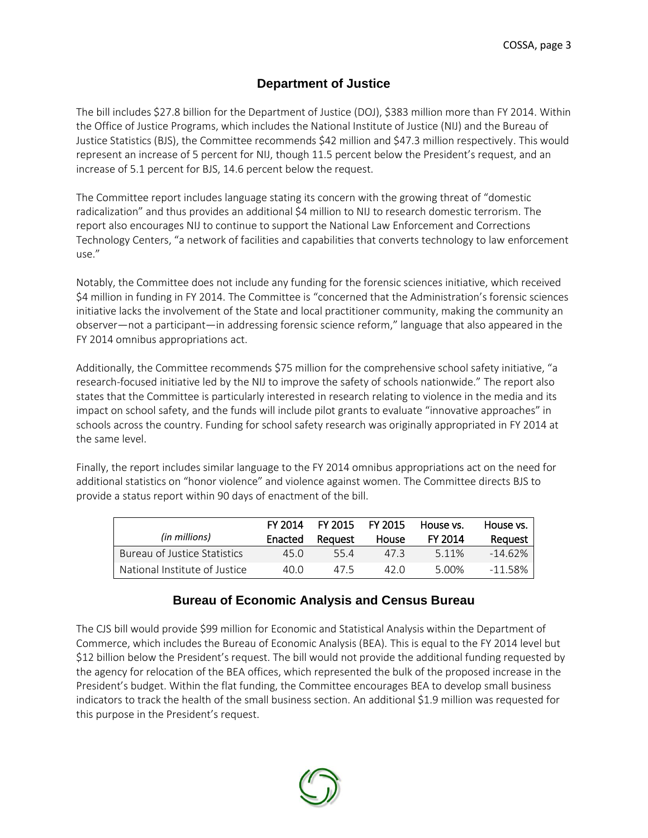### **Department of Justice**

The bill includes \$27.8 billion for the Department of Justice (DOJ), \$383 million more than FY 2014. Within the Office of Justice Programs, which includes the National Institute of Justice (NIJ) and the Bureau of Justice Statistics (BJS), the Committee recommends \$42 million and \$47.3 million respectively. This would represent an increase of 5 percent for NIJ, though 11.5 percent below the President's request, and an increase of 5.1 percent for BJS, 14.6 percent below the request.

The Committee report includes language stating its concern with the growing threat of "domestic radicalization" and thus provides an additional \$4 million to NIJ to research domestic terrorism. The report also encourages NIJ to continue to support the National Law Enforcement and Corrections Technology Centers, "a network of facilities and capabilities that converts technology to law enforcement use."

Notably, the Committee does not include any funding for the forensic sciences initiative, which received \$4 million in funding in FY 2014. The Committee is "concerned that the Administration's forensic sciences initiative lacks the involvement of the State and local practitioner community, making the community an observer—not a participant—in addressing forensic science reform," language that also appeared in the FY 2014 omnibus appropriations act.

Additionally, the Committee recommends \$75 million for the comprehensive school safety initiative, "a research-focused initiative led by the NIJ to improve the safety of schools nationwide." The report also states that the Committee is particularly interested in research relating to violence in the media and its impact on school safety, and the funds will include pilot grants to evaluate "innovative approaches" in schools across the country. Funding for school safety research was originally appropriated in FY 2014 at the same level.

Finally, the report includes similar language to the FY 2014 omnibus appropriations act on the need for additional statistics on "honor violence" and violence against women. The Committee directs BJS to provide a status report within 90 days of enactment of the bill.

| (in millions)                 | FY 2014<br>Enacted | FY 2015<br>Reguest | FY 2015<br>House | House vs.<br><b>FY 2014</b> | House vs.<br>Reguest |
|-------------------------------|--------------------|--------------------|------------------|-----------------------------|----------------------|
| Bureau of Justice Statistics  | 45.0               | 554                | 47 3             | 5.11%                       | $-14.62%$            |
| National Institute of Justice | 40 O               | 475                | 42 O             | 5.00%                       | $-11.58%$            |

#### **Bureau of Economic Analysis and Census Bureau**

The CJS bill would provide \$99 million for Economic and Statistical Analysis within the Department of Commerce, which includes the Bureau of Economic Analysis (BEA). This is equal to the FY 2014 level but \$12 billion below the President's request. The bill would not provide the additional funding requested by the agency for relocation of the BEA offices, which represented the bulk of the proposed increase in the President's budget. Within the flat funding, the Committee encourages BEA to develop small business indicators to track the health of the small business section. An additional \$1.9 million was requested for this purpose in the President's request.